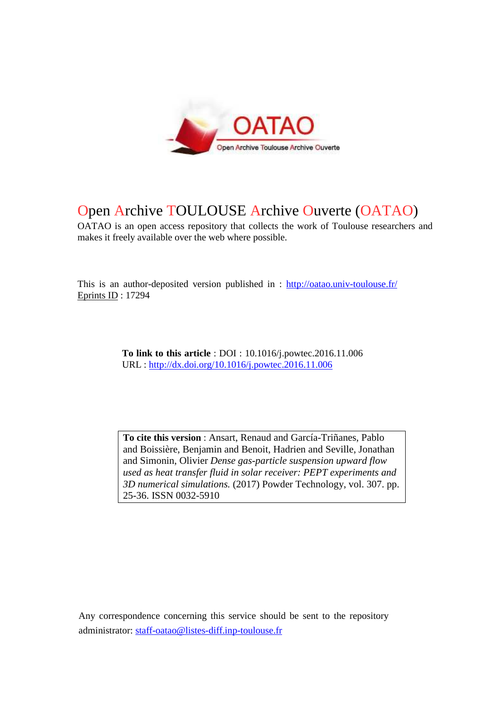

# Open Archive TOULOUSE Archive Ouverte (OATAO)

OATAO is an open access repository that collects the work of Toulouse researchers and makes it freely available over the web where possible.

This is an author-deposited version published in : http://oatao.univ-toulouse.fr/ Eprints ID : 17294

> **To link to this article** : DOI : 10.1016/j.powtec.2016.11.006 URL : http://dx.doi.org/10.1016/j.powtec.2016.11.006

**To cite this version** : Ansart, Renaud and García-Triñanes, Pablo and Boissière, Benjamin and Benoit, Hadrien and Seville, Jonathan and Simonin, Olivier *Dense gas-particle suspension upward flow used as heat transfer fluid in solar receiver: PEPT experiments and 3D numerical simulations.* (2017) Powder Technology, vol. 307. pp. 25-36. ISSN 0032-5910

Any correspondence concerning this service should be sent to the repository administrator: staff-oatao@listes-diff.inp-toulouse.fr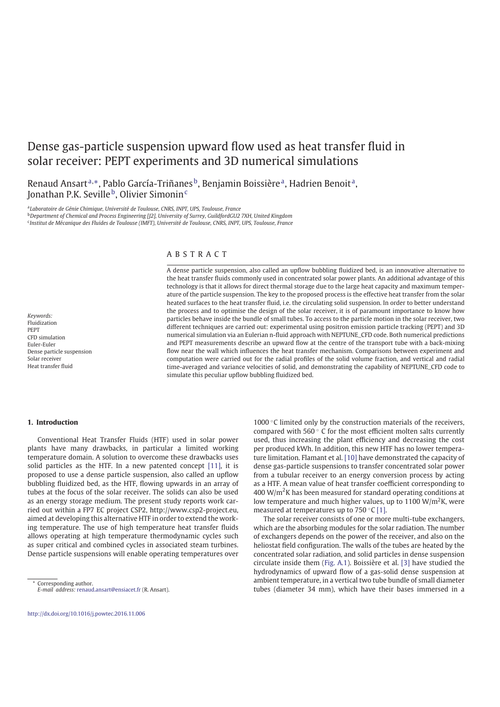# Dense gas-particle suspension upward flow used as heat transfer fluid in solar receiver: PEPT experiments and 3D numerical simulations

Renaud Ansart<sup>a,</sup>\*, Pablo García-Triñanes<sup>b</sup>, Benjamin Boissière<sup>a</sup>, Hadrien Benoit<sup>a</sup>, Jonathan P.K. Seville $^{\rm b}$ , Olivier Simonin $^{\rm c}$ 

a *Laboratoire de Génie Chimique, Université de Toulouse, CNRS, INPT, UPS, Toulouse, France* <sup>b</sup>*Department of Chemical and Process Engineering [J2], University of Surrey, GuildfordGU2 7XH, United Kingdom* c *Institut de Mécanique des Fluides de Toulouse (IMFT), Université de Toulouse, CNRS, INPT, UPS, Toulouse, France*

# A B S T R A C T

A dense particle suspension, also called an upflow bubbling fluidized bed, is an innovative alternative to the heat transfer fluids commonly used in concentrated solar power plants. An additional advantage of this technology is that it allows for direct thermal storage due to the large heat capacity and maximum temperature of the particle suspension. The key to the proposed process is the effective heat transfer from the solar heated surfaces to the heat transfer fluid, i.e. the circulating solid suspension. In order to better understand the process and to optimise the design of the solar receiver, it is of paramount importance to know how particles behave inside the bundle of small tubes. To access to the particle motion in the solar receiver, two different techniques are carried out: experimental using positron emission particle tracking (PEPT) and 3D numerical simulation via an Eulerian n-fluid approach with NEPTUNE\_CFD code. Both numerical predictions and PEPT measurements describe an upward flow at the centre of the transport tube with a back-mixing flow near the wall which influences the heat transfer mechanism. Comparisons between experiment and computation were carried out for the radial profiles of the solid volume fraction, and vertical and radial time-averaged and variance velocities of solid, and demonstrating the capability of NEPTUNE\_CFD code to simulate this peculiar upflow bubbling fluidized bed.

#### *Keywords:* Fluidization PEPT CFD simulation Euler-Euler Dense particle suspension Solar receiver Heat transfer fluid

# **1. Introduction**

Conventional Heat Transfer Fluids (HTF) used in solar power plants have many drawbacks, in particular a limited working temperature domain. A solution to overcome these drawbacks uses solid particles as the HTF. In a new patented concept [11], it is proposed to use a dense particle suspension, also called an upflow bubbling fluidized bed, as the HTF, flowing upwards in an array of tubes at the focus of the solar receiver. The solids can also be used as an energy storage medium. The present study reports work carried out within a FP7 EC project CSP2, http://www.csp2-project.eu, aimed at developing this alternative HTF in order to extend the working temperature. The use of high temperature heat transfer fluids allows operating at high temperature thermodynamic cycles such as super critical and combined cycles in associated steam turbines. Dense particle suspensions will enable operating temperatures over

1000 $\degree$ C limited only by the construction materials of the receivers, compared with 560 ◦ C for the most efficient molten salts currently used, thus increasing the plant efficiency and decreasing the cost per produced kWh. In addition, this new HTF has no lower temperature limitation. Flamant et al. [10] have demonstrated the capacity of dense gas-particle suspensions to transfer concentrated solar power from a tubular receiver to an energy conversion process by acting as a HTF. A mean value of heat transfer coefficient corresponding to 400 W/m<sup>2</sup>K has been measured for standard operating conditions at low temperature and much higher values, up to 1100 W/m<sup>2</sup>K, were measured at temperatures up to 750  $°C$  [1].

The solar receiver consists of one or more multi-tube exchangers, which are the absorbing modules for the solar radiation. The number of exchangers depends on the power of the receiver, and also on the heliostat field configuration. The walls of the tubes are heated by the concentrated solar radiation, and solid particles in dense suspension circulate inside them (Fig. A.1). Boissière et al. [3] have studied the hydrodynamics of upward flow of a gas-solid dense suspension at ambient temperature, in a vertical two tube bundle of small diameter tubes (diameter 34 mm), which have their bases immersed in a

Corresponding author.

*E-mail address:* renaud.ansart@ensiacet.fr (R. Ansart).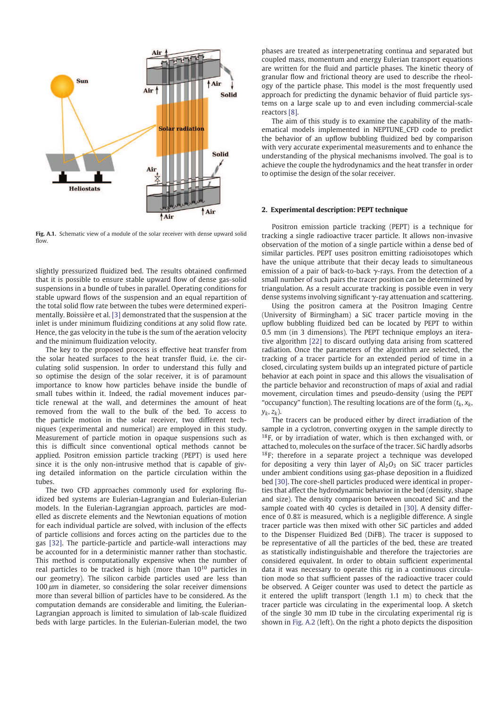

**Fig. A.1.** Schematic view of a module of the solar receiver with dense upward solid flow.

slightly pressurized fluidized bed. The results obtained confirmed that it is possible to ensure stable upward flow of dense gas-solid suspensions in a bundle of tubes in parallel. Operating conditions for stable upward flows of the suspension and an equal repartition of the total solid flow rate between the tubes were determined experimentally. Boissière et al. [3] demonstrated that the suspension at the inlet is under minimum fluidizing conditions at any solid flow rate. Hence, the gas velocity in the tube is the sum of the aeration velocity and the minimum fluidization velocity.

The key to the proposed process is effective heat transfer from the solar heated surfaces to the heat transfer fluid, i.e. the circulating solid suspension. In order to understand this fully and so optimise the design of the solar receiver, it is of paramount importance to know how particles behave inside the bundle of small tubes within it. Indeed, the radial movement induces particle renewal at the wall, and determines the amount of heat removed from the wall to the bulk of the bed. To access to the particle motion in the solar receiver, two different techniques (experimental and numerical) are employed in this study. Measurement of particle motion in opaque suspensions such as this is difficult since conventional optical methods cannot be applied. Positron emission particle tracking (PEPT) is used here since it is the only non-intrusive method that is capable of giving detailed information on the particle circulation within the tubes.

The two CFD approaches commonly used for exploring fluidized bed systems are Eulerian-Lagrangian and Eulerian-Eulerian models. In the Eulerian-Lagrangian approach, particles are modelled as discrete elements and the Newtonian equations of motion for each individual particle are solved, with inclusion of the effects of particle collisions and forces acting on the particles due to the gas [32]. The particle-particle and particle-wall interactions may be accounted for in a deterministic manner rather than stochastic. This method is computationally expensive when the number of real particles to be tracked is high (more than 10<sup>10</sup> particles in our geometry). The silicon carbide particles used are less than 100 *lm* in diameter, so considering the solar receiver dimensions more than several billion of particles have to be considered. As the computation demands are considerable and limiting, the Eulerian-Lagrangian approach is limited to simulation of lab-scale fluidized beds with large particles. In the Eulerian-Eulerian model, the two phases are treated as interpenetrating continua and separated but coupled mass, momentum and energy Eulerian transport equations are written for the fluid and particle phases. The kinetic theory of granular flow and frictional theory are used to describe the rheology of the particle phase. This model is the most frequently used approach for predicting the dynamic behavior of fluid particle systems on a large scale up to and even including commercial-scale reactors [8].

The aim of this study is to examine the capability of the mathematical models implemented in NEPTUNE\_CFD code to predict the behavior of an upflow bubbling fluidized bed by comparison with very accurate experimental measurements and to enhance the understanding of the physical mechanisms involved. The goal is to achieve the couple the hydrodynamics and the heat transfer in order to optimise the design of the solar receiver.

#### **2. Experimental description: PEPT technique**

Positron emission particle tracking (PEPT) is a technique for tracking a single radioactive tracer particle. It allows non-invasive observation of the motion of a single particle within a dense bed of similar particles. PEPT uses positron emitting radioisotopes which have the unique attribute that their decay leads to simultaneous emission of a pair of back-to-back  $\gamma$ -rays. From the detection of a small number of such pairs the tracer position can be determined by triangulation. As a result accurate tracking is possible even in very dense systems involving significant γ-ray attenuation and scattering.

Using the positron camera at the Positron Imaging Centre (University of Birmingham) a SiC tracer particle moving in the upflow bubbling fluidized bed can be located by PEPT to within 0.5 mm (in 3 dimensions). The PEPT technique employs an iterative algorithm [22] to discard outlying data arising from scattered radiation. Once the parameters of the algorithm are selected, the tracking of a tracer particle for an extended period of time in a closed, circulating system builds up an integrated picture of particle behavior at each point in space and this allows the visualisation of the particle behavior and reconstruction of maps of axial and radial movement, circulation times and pseudo-density (using the PEPT "occupancy" function). The resulting locations are of the form (*t<sup>k</sup>* , *x<sup>k</sup>* , *yk* , *z<sup>k</sup>* ).

The tracers can be produced either by direct irradiation of the sample in a cyclotron, converting oxygen in the sample directly to  $18F$ , or by irradiation of water, which is then exchanged with, or attached to, molecules on the surface of the tracer. SiC hardly adsorbs  $18$ F; therefore in a separate project a technique was developed for depositing a very thin layer of  $Al_2O_3$  on SiC tracer particles under ambient conditions using gas-phase deposition in a fluidized bed [30]. The core-shell particles produced were identical in properties that affect the hydrodynamic behavior in the bed (density, shape and size). The density comparison between uncoated SiC and the sample coated with 40 cycles is detailed in [30]. A density difference of 0.8*%* is measured, which is a negligible difference. A single tracer particle was then mixed with other SiC particles and added to the Dispenser Fluidized Bed (DiFB). The tracer is supposed to be representative of all the particles of the bed, these are treated as statistically indistinguishable and therefore the trajectories are considered equivalent. In order to obtain sufficient experimental data it was necessary to operate this rig in a continuous circulation mode so that sufficient passes of the radioactive tracer could be observed. A Geiger counter was used to detect the particle as it entered the uplift transport (length 1.1 m) to check that the tracer particle was circulating in the experimental loop. A sketch of the single 30 mm ID tube in the circulating experimental rig is shown in Fig. A.2 (left). On the right a photo depicts the disposition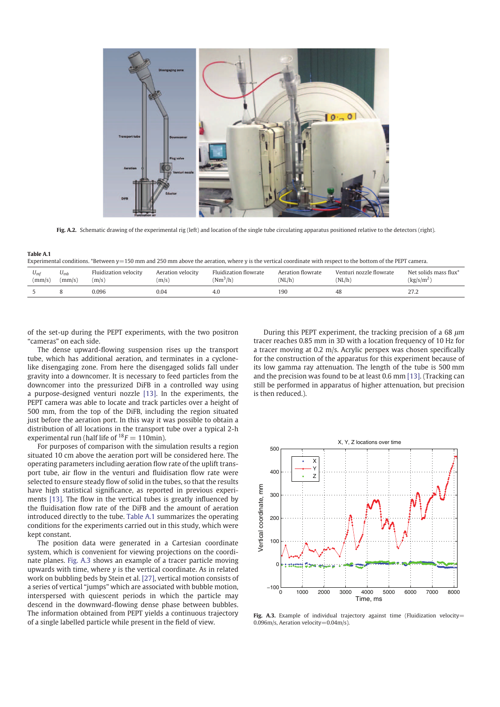

**Fig. A.2.** Schematic drawing of the experimental rig (left) and location of the single tube circulating apparatus positioned relative to the detectors (right).

| Tapic A.I                                                                                                                                                     |                    |                                |                            |                                     |                             |                                   |                                                 |
|---------------------------------------------------------------------------------------------------------------------------------------------------------------|--------------------|--------------------------------|----------------------------|-------------------------------------|-----------------------------|-----------------------------------|-------------------------------------------------|
| Experimental conditions. *Between $y=150$ mm and 250 mm above the aeration, where y is the vertical coordinate with respect to the bottom of the PEPT camera. |                    |                                |                            |                                     |                             |                                   |                                                 |
| $U_{mi}$<br>(mm/s)                                                                                                                                            | $U_{mb}$<br>(mm/s) | Fluidization velocity<br>(m/s) | Aeration velocity<br>(m/s) | Fluidization flowrate<br>$(Nm^3/h)$ | Aeration flowrate<br>(NL/h) | Venturi nozzle flowrate<br>(NL/h) | Net solids mass flux*<br>(kg/s/m <sup>2</sup> ) |
|                                                                                                                                                               |                    | 0.096                          | 0.04                       | 4.0                                 | 190                         | 48                                | 27.2                                            |

of the set-up during the PEPT experiments, with the two positron "cameras" on each side.

**Table A.1**

The dense upward-flowing suspension rises up the transport tube, which has additional aeration, and terminates in a cyclonelike disengaging zone. From here the disengaged solids fall under gravity into a downcomer. It is necessary to feed particles from the downcomer into the pressurized DiFB in a controlled way using a purpose-designed venturi nozzle [13]. In the experiments, the PEPT camera was able to locate and track particles over a height of 500 mm, from the top of the DiFB, including the region situated just before the aeration port. In this way it was possible to obtain a distribution of all locations in the transport tube over a typical 2-h experimental run (half life of  $^{18}F = 110$ min).

For purposes of comparison with the simulation results a region situated 10 cm above the aeration port will be considered here. The operating parameters including aeration flow rate of the uplift transport tube, air flow in the venturi and fluidisation flow rate were selected to ensure steady flow of solid in the tubes, so that the results have high statistical significance, as reported in previous experiments [13]. The flow in the vertical tubes is greatly influenced by the fluidisation flow rate of the DiFB and the amount of aeration introduced directly to the tube. Table A.1 summarizes the operating conditions for the experiments carried out in this study, which were kept constant.

The position data were generated in a Cartesian coordinate system, which is convenient for viewing projections on the coordinate planes. Fig. A.3 shows an example of a tracer particle moving upwards with time, where *y* is the vertical coordinate. As in related work on bubbling beds by Stein et al. [27], vertical motion consists of a series of vertical "jumps" which are associated with bubble motion, interspersed with quiescent periods in which the particle may descend in the downward-flowing dense phase between bubbles. The information obtained from PEPT yields a continuous trajectory of a single labelled particle while present in the field of view.

During this PEPT experiment, the tracking precision of a 68 *lm* tracer reaches 0.85 mm in 3D with a location frequency of 10 Hz for a tracer moving at 0.2 m/s. Acrylic perspex was chosen specifically for the construction of the apparatus for this experiment because of its low gamma ray attenuation. The length of the tube is 500 mm and the precision was found to be at least 0.6 mm [13]. (Tracking can still be performed in apparatus of higher attenuation, but precision is then reduced.).



Fig. A.3. Example of individual trajectory against time (Fluidization velocity= 0.096m/s, Aeration velocity=0.04m/s).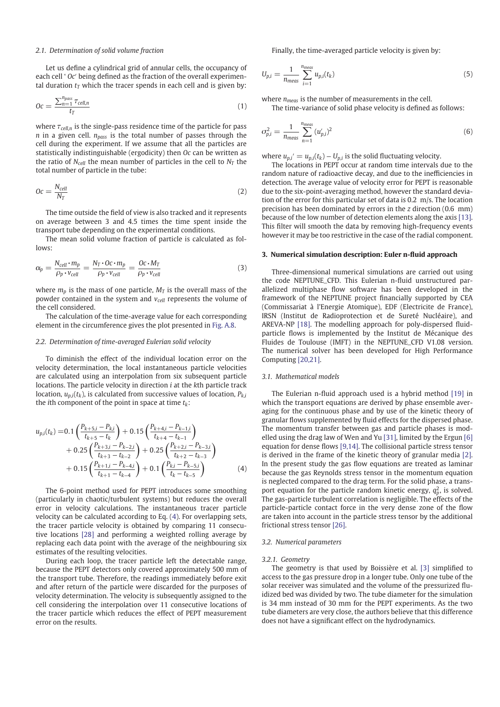#### *2.1. Determination of solid volume fraction*

Let us define a cylindrical grid of annular cells, the occupancy of each cell ' *Oc*′ being defined as the fraction of the overall experimental duration  $t_T$  which the tracer spends in each cell and is given by:

$$
Oc = \frac{\sum_{n=1}^{n_{pass}} \tau_{cell,n}}{t_T}
$$
 (1)

where  $\tau_{cell,n}$  is the single-pass residence time of the particle for pass *n* in a given cell. *npass* is the total number of passes through the cell during the experiment. If we assume that all the particles are statistically indistinguishable (ergodicity) then *Oc* can be written as the ratio of  $N_{cell}$  the mean number of particles in the cell to  $N_T$  the total number of particle in the tube:

$$
Oc = \frac{N_{cell}}{N_T} \tag{2}
$$

The time outside the field of view is also tracked and it represents on average between 3 and 4.5 times the time spent inside the transport tube depending on the experimental conditions.

The mean solid volume fraction of particle is calculated as follows:

$$
\alpha_p = \frac{N_{cell} \cdot m_p}{\rho_p \cdot v_{cell}} = \frac{N_T \cdot Oc \cdot m_p}{\rho_p \cdot v_{cell}} = \frac{Oc \cdot M_T}{\rho_p \cdot v_{cell}}
$$
(3)

where  $m_p$  is the mass of one particle,  $M_T$  is the overall mass of the powder contained in the system and *vcell* represents the volume of the cell considered.

The calculation of the time-average value for each corresponding element in the circumference gives the plot presented in Fig. A.8.

#### *2.2. Determination of time-averaged Eulerian solid velocity*

To diminish the effect of the individual location error on the velocity determination, the local instantaneous particle velocities are calculated using an interpolation from six subsequent particle locations. The particle velocity in direction *i* at the *k*th particle track location, *up*,*<sup>i</sup>* (*tk* ), is calculated from successive values of location, *Pk*,*<sup>i</sup>* the *i*th component of the point in space at time *t<sup>k</sup>* :

$$
u_{p,i}(t_k) = 0.1 \left( \frac{P_{k+5,i} - P_{k,i}}{t_{k+5} - t_k} \right) + 0.15 \left( \frac{P_{k+4,i} - P_{k-1,i}}{t_{k+4} - t_{k-1}} \right) + 0.25 \left( \frac{P_{k+3,i} - P_{k-2,i}}{t_{k+3} - t_{k-2}} \right) + 0.25 \left( \frac{P_{k+2,i} - P_{k-3,i}}{t_{k+2} - t_{k-3}} \right) + 0.15 \left( \frac{P_{k+1,i} - P_{k-4,i}}{t_{k+1} - t_{k-4}} \right) + 0.1 \left( \frac{P_{k,i} - P_{k-5,i}}{t_k - t_{k-5}} \right)
$$
(4)

The 6-point method used for PEPT introduces some smoothing (particularly in chaotic/turbulent systems) but reduces the overall error in velocity calculations. The instantaneous tracer particle velocity can be calculated according to Eq. (4). For overlapping sets, the tracer particle velocity is obtained by comparing 11 consecutive locations [28] and performing a weighted rolling average by replacing each data point with the average of the neighbouring six estimates of the resulting velocities.

During each loop, the tracer particle left the detectable range, because the PEPT detectors only covered approximately 500 mm of the transport tube. Therefore, the readings immediately before exit and after return of the particle were discarded for the purposes of velocity determination. The velocity is subsequently assigned to the cell considering the interpolation over 11 consecutive locations of the tracer particle which reduces the effect of PEPT measurement error on the results.

Finally, the time-averaged particle velocity is given by:

$$
U_{p,i} = \frac{1}{n_{meas}} \sum_{i=1}^{n_{meas}} u_{p,i}(t_k)
$$
\n<sup>(5)</sup>

where *nmeas* is the number of measurements in the cell.

The time-variance of solid phase velocity is defined as follows:

$$
\sigma_{p,i}^2 = \frac{1}{n_{meas}} \sum_{n=1}^{n_{meas}} (u'_{p,i})^2
$$
 (6)

where  $u_{p,i}' = u_{p,i}(t_k) - U_{p,i}$  is the solid fluctuating velocity.

The locations in PEPT occur at random time intervals due to the random nature of radioactive decay, and due to the inefficiencies in detection. The average value of velocity error for PEPT is reasonable due to the six-point-averaging method, however the standard deviation of the error for this particular set of data is 0.2 m/s. The location precision has been dominated by errors in the *z* direction (0.6 mm) because of the low number of detection elements along the axis [13]. This filter will smooth the data by removing high-frequency events however it may be too restrictive in the case of the radial component.

#### **3. Numerical simulation description: Euler n-fluid approach**

Three-dimensional numerical simulations are carried out using the code NEPTUNE\_CFD. This Eulerian n-fluid unstructured parallelized multiphase flow software has been developed in the framework of the NEPTUNE project financially supported by CEA (Commissariat à l'Energie Atomique), EDF (Electricite de France), IRSN (Institut de Radioprotection et de Sureté Nucléaire), and AREVA-NP [18]. The modelling approach for poly-dispersed fluidparticle flows is implemented by the Institut de Mécanique des Fluides de Toulouse (IMFT) in the NEPTUNE CFD V1.08 version. The numerical solver has been developed for High Performance Computing [20,21].

#### *3.1. Mathematical models*

The Eulerian n-fluid approach used is a hybrid method [19] in which the transport equations are derived by phase ensemble averaging for the continuous phase and by use of the kinetic theory of granular flows supplemented by fluid effects for the dispersed phase. The momentum transfer between gas and particle phases is modelled using the drag law of Wen and Yu [31], limited by the Ergun [6] equation for dense flows [9,14]. The collisional particle stress tensor is derived in the frame of the kinetic theory of granular media [2]. In the present study the gas flow equations are treated as laminar because the gas Reynolds stress tensor in the momentum equation is neglected compared to the drag term. For the solid phase, a transport equation for the particle random kinetic energy,  $q_p^2$ , is solved. The gas-particle turbulent correlation is negligible. The effects of the particle-particle contact force in the very dense zone of the flow are taken into account in the particle stress tensor by the additional frictional stress tensor [26].

#### *3.2. Numerical parameters*

#### *3.2.1. Geometry*

The geometry is that used by Boissière et al. [3] simplified to access to the gas pressure drop in a longer tube. Only one tube of the solar receiver was simulated and the volume of the pressurized fluidized bed was divided by two. The tube diameter for the simulation is 34 mm instead of 30 mm for the PEPT experiments. As the two tube diameters are very close, the authors believe that this difference does not have a significant effect on the hydrodynamics.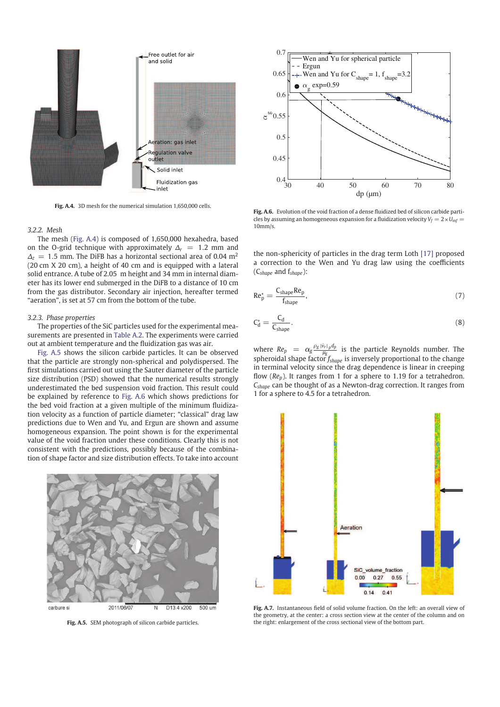

**Fig. A.4.** 3D mesh for the numerical simulation 1,650,000 cells.

#### *3.2.2. Mesh*

The mesh (Fig. A.4) is composed of 1,650,000 hexahedra, based on the O-grid technique with approximately  $\Delta_r = 1.2$  mm and  $\Delta$ <sup>z</sup> = 1.5 mm. The DiFB has a horizontal sectional area of 0.04 m<sup>2</sup> (20 cm X 20 cm), a height of 40 cm and is equipped with a lateral solid entrance. A tube of 2.05 m height and 34 mm in internal diameter has its lower end submerged in the DiFB to a distance of 10 cm from the gas distributor. Secondary air injection, hereafter termed "aeration", is set at 57 cm from the bottom of the tube.

#### *3.2.3. Phase properties*

The properties of the SiC particles used for the experimental measurements are presented in Table A.2. The experiments were carried out at ambient temperature and the fluidization gas was air.

Fig. A.5 shows the silicon carbide particles. It can be observed that the particle are strongly non-spherical and polydispersed. The first simulations carried out using the Sauter diameter of the particle size distribution (PSD) showed that the numerical results strongly underestimated the bed suspension void fraction. This result could be explained by reference to Fig. A.6 which shows predictions for the bed void fraction at a given multiple of the minimum fluidization velocity as a function of particle diameter; "classical" drag law predictions due to Wen and Yu, and Ergun are shown and assume homogeneous expansion. The point shown is for the experimental value of the void fraction under these conditions. Clearly this is not consistent with the predictions, possibly because of the combination of shape factor and size distribution effects. To take into account



**Fig. A.5.** SEM photograph of silicon carbide particles.



**Fig. A.6.** Evolution of the void fraction of a dense fluidized bed of silicon carbide particles by assuming an homogeneous expansion for a fluidization velocity  $V_f = 2 \times U_{mf} =$ 10mm/s.

the non-sphericity of particles in the drag term Loth [17] proposed a correction to the Wen and Yu drag law using the coefficients (C*shape* and f*shape*):

$$
Re_p^* = \frac{C_{shape} Re_p}{f_{shape}},\tag{7}
$$

$$
C_d^* = \frac{C_d}{C_{shape}}.\tag{8}
$$

where  $Re_p = \alpha_g \frac{\rho_g |\vec{v}_r|_p dp}{\mu_g}$  is the particle Reynolds number. The spheroidal shape factor *f shape* is inversely proportional to the change in terminal velocity since the drag dependence is linear in creeping flow (*Rep*). It ranges from 1 for a sphere to 1.19 for a tetrahedron. *Cshape* can be thought of as a Newton-drag correction. It ranges from 1 for a sphere to 4.5 for a tetrahedron.



**Fig. A.7.** Instantaneous field of solid volume fraction. On the left: an overall view of the geometry, at the center: a cross section view at the center of the column and on the right: enlargement of the cross sectional view of the bottom part.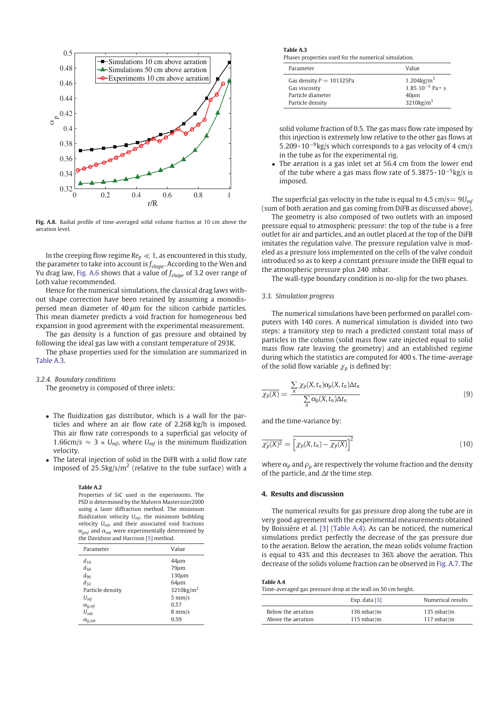

**Fig. A.8.** Radial profile of time-averaged solid volume fraction at 10 cm above the aeration level.

In the creeping flow regime  $Re_p \ll 1$ , as encountered in this study, the parameter to take into account is *f shape*. According to the Wen and Yu drag law, Fig. A.6 shows that a value of *f shape* of 3.2 over range of Loth value recommended.

Hence for the numerical simulations, the classical drag laws without shape correction have been retained by assuming a monodispersed mean diameter of 40 *l*m for the silicon carbide particles. This mean diameter predicts a void fraction for homogeneous bed expansion in good agreement with the experimental measurement.

The gas density is a function of gas pressure and obtained by following the ideal gas law with a constant temperature of 293K.

The phase properties used for the simulation are summarized in Table A.3.

*3.2.4. Boundary conditions*

The geometry is composed of three inlets:

- The fluidization gas distributor, which is a wall for the particles and where an air flow rate of 2.268 kg/h is imposed. This air flow rate corresponds to a superficial gas velocity of 1.66cm/s  $\approx$  3  $\times$  *U<sub>mf</sub>*, where *U<sub>mf</sub>* is the minimum fluidization velocity.
- The lateral injection of solid in the DiFB with a solid flow rate imposed of 25.5kg/s/ $m^2$  (relative to the tube surface) with a

#### **Table A.2**

Properties of SiC used in the experiments. The PSD is determined by the Malvern Mastersizer2000 using a laser diffraction method. The minimum fluidization velocity *Umf*, the minimum bubbling velocity *Umb* and their associated void fractions  $\alpha_{emf}$  and  $\alpha_{mh}$  were experimentally determined by the Davidson and Harrison [5] method.

| Parameter              | Value                    |
|------------------------|--------------------------|
| $d_{10}$               | $44 \mu m$               |
| $d_{50}$               | $79 \mu m$               |
| $d_{90}$               | $130 \mu m$              |
| $d_{32}$               | $64 \mu m$               |
| Particle density       | $3210$ kg/m <sup>3</sup> |
| $U_{\rm mf}$           | $5 \text{ mm/s}$         |
| $\alpha_{g,mf}$        | 0.57                     |
| $U_{mb}$               | $8 \text{ mm/s}$         |
| $\alpha_{\text{g},mb}$ | 0.59                     |

# **Table A.3**

Phases properties used for the numerical simulation.

| Parameter                  | Value                    |
|----------------------------|--------------------------|
| Gas density $P = 101325Pa$ | $1.204\text{kg/m}^3$     |
| Gas viscosity              | $1.85.10^{-5}$ Pa • s    |
| Particle diameter          | $40 \mu m$               |
| Particle density           | $3210$ kg/m <sup>3</sup> |

solid volume fraction of 0.5. The gas mass flow rate imposed by this injection is extremely low relative to the other gas flows at 5.209 • 10−9kg/s which corresponds to a gas velocity of 4 cm/s in the tube as for the experimental rig.

• The aeration is a gas inlet set at 56.4 cm from the lower end of the tube where a gas mass flow rate of  $5.3875 \cdot 10^{-5}$ kg/s is imposed.

The superficial gas velocity in the tube is equal to 4.5  $\text{cm/s} = 9U_{\text{mf}}$ (sum of both aeration and gas coming from DiFB as discussed above).

The geometry is also composed of two outlets with an imposed pressure equal to atmospheric pressure: the top of the tube is a free outlet for air and particles, and an outlet placed at the top of the DiFB imitates the regulation valve. The pressure regulation valve is modeled as a pressure loss implemented on the cells of the valve conduit introduced so as to keep a constant pressure inside the DiFB equal to the atmospheric pressure plus 240 mbar.

The wall-type boundary condition is no-slip for the two phases.

#### *3.3. Simulation progress*

The numerical simulations have been performed on parallel computers with 140 cores. A numerical simulation is divided into two steps: a transitory step to reach a predicted constant total mass of particles in the column (solid mass flow rate injected equal to solid mass flow rate leaving the geometry) and an established regime during which the statistics are computed for 400 s. The time-average of the solid flow variable  $\chi_p$  is defined by:

$$
\frac{\sum_{n} \chi_{p}(X, t_{n}) \alpha_{p}(X, t_{n}) \Delta t_{n}}{\sum_{n} \alpha_{p}(X, t_{n}) \Delta t_{n}}
$$
\n(9)

and the time-variance by:

$$
\overline{\chi'_p(X)^2} = \overline{\left[\chi_p(X, t_n) - \overline{\chi_p(X)}\right]^2} \tag{10}
$$

where  $\alpha_p$  and  $\rho_p$  are respectively the volume fraction and the density of the particle, and  $\Delta t$  the time step.

# **4. Results and discussion**

The numerical results for gas pressure drop along the tube are in very good agreement with the experimental measurements obtained by Boissière et al. [3] (Table A.4). As can be noticed, the numerical simulations predict perfectly the decrease of the gas pressure due to the aeration. Below the aeration, the mean solids volume fraction is equal to 43% and this decreases to 36% above the aeration. This decrease of the solids volume fraction can be observed in Fig. A.7. The

| Table A.4 |                                                   |
|-----------|---------------------------------------------------|
|           | Time-averaged gas pressure drop at the wall on 50 |

|                    | Exp. data $[3]$      | Numerical results    |
|--------------------|----------------------|----------------------|
| Below the aeration | $136 \text{ mbar/m}$ | $135 \text{ mbar/m}$ |
| Above the aeration | $115 \text{ mbar/m}$ | $117$ mbar/m         |

cm height.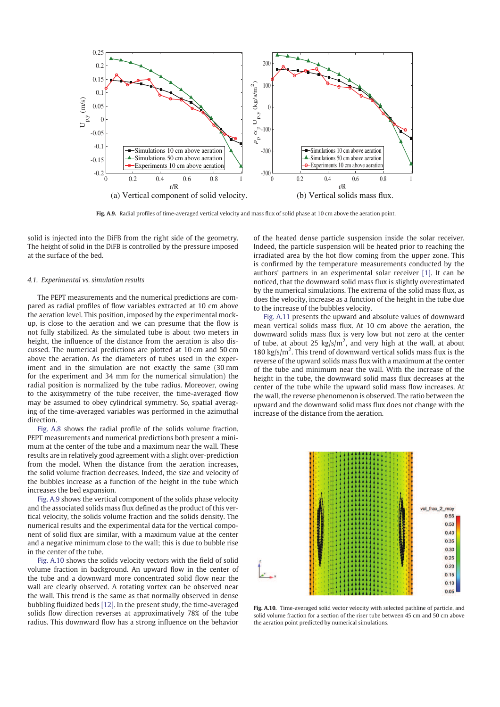

**Fig. A.9.** Radial profiles of time-averaged vertical velocity and mass flux of solid phase at 10 cm above the aeration point.

solid is injected into the DiFB from the right side of the geometry. The height of solid in the DiFB is controlled by the pressure imposed at the surface of the bed.

#### *4.1. Experimental vs. simulation results*

The PEPT measurements and the numerical predictions are compared as radial profiles of flow variables extracted at 10 cm above the aeration level. This position, imposed by the experimental mockup, is close to the aeration and we can presume that the flow is not fully stabilized. As the simulated tube is about two meters in height, the influence of the distance from the aeration is also discussed. The numerical predictions are plotted at 10 cm and 50 cm above the aeration. As the diameters of tubes used in the experiment and in the simulation are not exactly the same (30 mm for the experiment and 34 mm for the numerical simulation) the radial position is normalized by the tube radius. Moreover, owing to the axisymmetry of the tube receiver, the time-averaged flow may be assumed to obey cylindrical symmetry. So, spatial averaging of the time-averaged variables was performed in the azimuthal direction.

Fig. A.8 shows the radial profile of the solids volume fraction. PEPT measurements and numerical predictions both present a minimum at the center of the tube and a maximum near the wall. These results are in relatively good agreement with a slight over-prediction from the model. When the distance from the aeration increases, the solid volume fraction decreases. Indeed, the size and velocity of the bubbles increase as a function of the height in the tube which increases the bed expansion.

Fig. A.9 shows the vertical component of the solids phase velocity and the associated solids mass flux defined as the product of this vertical velocity, the solids volume fraction and the solids density. The numerical results and the experimental data for the vertical component of solid flux are similar, with a maximum value at the center and a negative minimum close to the wall; this is due to bubble rise in the center of the tube.

Fig. A.10 shows the solids velocity vectors with the field of solid volume fraction in background. An upward flow in the center of the tube and a downward more concentrated solid flow near the wall are clearly observed. A rotating vortex can be observed near the wall. This trend is the same as that normally observed in dense bubbling fluidized beds [12]. In the present study, the time-averaged solids flow direction reverses at approximatively 78% of the tube radius. This downward flow has a strong influence on the behavior of the heated dense particle suspension inside the solar receiver. Indeed, the particle suspension will be heated prior to reaching the irradiated area by the hot flow coming from the upper zone. This is confirmed by the temperature measurements conducted by the authors' partners in an experimental solar receiver [1]. It can be noticed, that the downward solid mass flux is slightly overestimated by the numerical simulations. The extrema of the solid mass flux, as does the velocity, increase as a function of the height in the tube due to the increase of the bubbles velocity.

Fig. A.11 presents the upward and absolute values of downward mean vertical solids mass flux. At 10 cm above the aeration, the downward solids mass flux is very low but not zero at the center of tube, at about 25  $\text{kg/s/m}^2$ , and very high at the wall, at about 180 kg/s/ $m^2$ . This trend of downward vertical solids mass flux is the reverse of the upward solids mass flux with a maximum at the center of the tube and minimum near the wall. With the increase of the height in the tube, the downward solid mass flux decreases at the center of the tube while the upward solid mass flow increases. At the wall, the reverse phenomenon is observed. The ratio between the upward and the downward solid mass flux does not change with the increase of the distance from the aeration.



**Fig. A.10.** Time-averaged solid vector velocity with selected pathline of particle, and solid volume fraction for a section of the riser tube between 45 cm and 50 cm above the aeration point predicted by numerical simulations.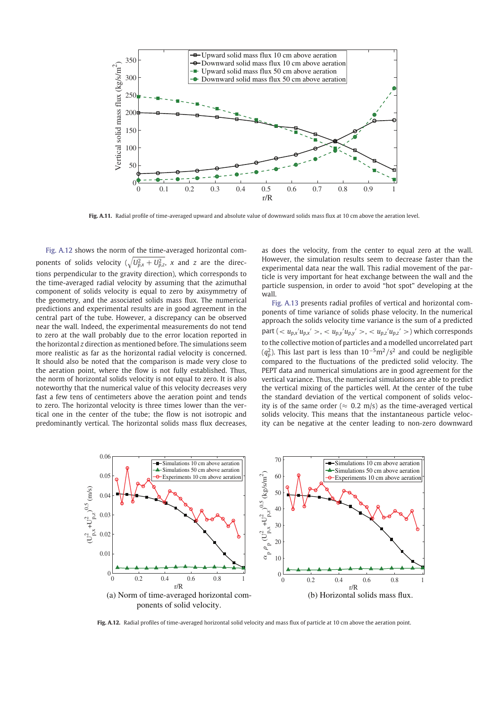

**Fig. A.11.** Radial profile of time-averaged upward and absolute value of downward solids mass flux at 10 cm above the aeration level.

Fig. A.12 shows the norm of the time-averaged horizontal components of solids velocity  $(\sqrt{U_{p,x}^2 + U_{p,z}^2}$ , *x* and *z* are the directions perpendicular to the gravity direction), which corresponds to the time-averaged radial velocity by assuming that the azimuthal component of solids velocity is equal to zero by axisymmetry of the geometry, and the associated solids mass flux. The numerical predictions and experimental results are in good agreement in the central part of the tube. However, a discrepancy can be observed near the wall. Indeed, the experimental measurements do not tend to zero at the wall probably due to the error location reported in the horizontal *z* direction as mentioned before. The simulations seem more realistic as far as the horizontal radial velocity is concerned. It should also be noted that the comparison is made very close to the aeration point, where the flow is not fully established. Thus, the norm of horizontal solids velocity is not equal to zero. It is also noteworthy that the numerical value of this velocity decreases very fast a few tens of centimeters above the aeration point and tends to zero. The horizontal velocity is three times lower than the vertical one in the center of the tube; the flow is not isotropic and predominantly vertical. The horizontal solids mass flux decreases, as does the velocity, from the center to equal zero at the wall. However, the simulation results seem to decrease faster than the experimental data near the wall. This radial movement of the particle is very important for heat exchange between the wall and the particle suspension, in order to avoid "hot spot" developing at the wall.

Fig. A.13 presents radial profiles of vertical and horizontal components of time variance of solids phase velocity. In the numerical approach the solids velocity time variance is the sum of a predicted  $part (-u_{p,x}/u_{p,x'} >, u_{p,y}/u_{p,y'} >, u_{p,z}/u_{p,z'} >)$  which corresponds to the collective motion of particles and a modelled uncorrelated part  $(q_p^2)$ . This last part is less than 10<sup>-5</sup>m<sup>2</sup>/s<sup>2</sup> and could be negligible compared to the fluctuations of the predicted solid velocity. The PEPT data and numerical simulations are in good agreement for the vertical variance. Thus, the numerical simulations are able to predict the vertical mixing of the particles well. At the center of the tube the standard deviation of the vertical component of solids velocity is of the same order ( $\approx$  0.2 m/s) as the time-averaged vertical solids velocity. This means that the instantaneous particle velocity can be negative at the center leading to non-zero downward



**Fig. A.12.** Radial profiles of time-averaged horizontal solid velocity and mass flux of particle at 10 cm above the aeration point.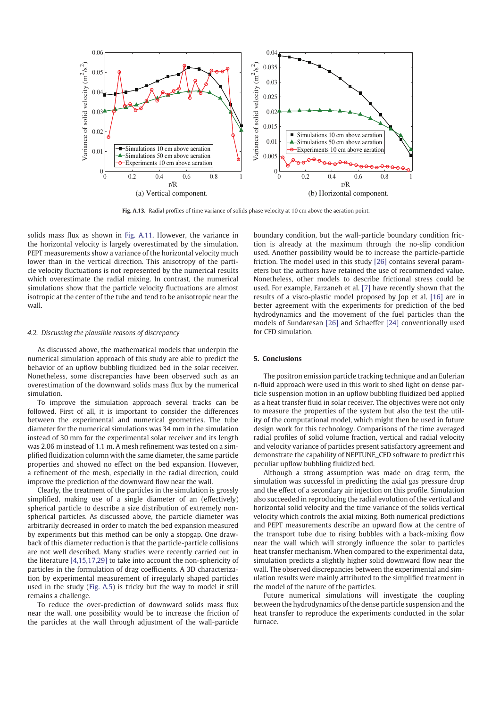

**Fig. A.13.** Radial profiles of time variance of solids phase velocity at 10 cm above the aeration point.

solids mass flux as shown in Fig. A.11. However, the variance in the horizontal velocity is largely overestimated by the simulation. PEPT measurements show a variance of the horizontal velocity much lower than in the vertical direction. This anisotropy of the particle velocity fluctuations is not represented by the numerical results which overestimate the radial mixing. In contrast, the numerical simulations show that the particle velocity fluctuations are almost isotropic at the center of the tube and tend to be anisotropic near the wall.

#### *4.2. Discussing the plausible reasons of discrepancy*

As discussed above, the mathematical models that underpin the numerical simulation approach of this study are able to predict the behavior of an upflow bubbling fluidized bed in the solar receiver. Nonetheless, some discrepancies have been observed such as an overestimation of the downward solids mass flux by the numerical simulation.

To improve the simulation approach several tracks can be followed. First of all, it is important to consider the differences between the experimental and numerical geometries. The tube diameter for the numerical simulations was 34 mm in the simulation instead of 30 mm for the experimental solar receiver and its length was 2.06 m instead of 1.1 m. A mesh refinement was tested on a simplified fluidization column with the same diameter, the same particle properties and showed no effect on the bed expansion. However, a refinement of the mesh, especially in the radial direction, could improve the prediction of the downward flow near the wall.

Clearly, the treatment of the particles in the simulation is grossly simplified, making use of a single diameter of an (effectively) spherical particle to describe a size distribution of extremely nonspherical particles. As discussed above, the particle diameter was arbitrarily decreased in order to match the bed expansion measured by experiments but this method can be only a stopgap. One drawback of this diameter reduction is that the particle-particle collisions are not well described. Many studies were recently carried out in the literature [4,15,17,29] to take into account the non-sphericity of particles in the formulation of drag coefficients. A 3D characterization by experimental measurement of irregularly shaped particles used in the study (Fig. A.5) is tricky but the way to model it still remains a challenge.

To reduce the over-prediction of downward solids mass flux near the wall, one possibility would be to increase the friction of the particles at the wall through adjustment of the wall-particle

boundary condition, but the wall-particle boundary condition friction is already at the maximum through the no-slip condition used. Another possibility would be to increase the particle-particle friction. The model used in this study [26] contains several parameters but the authors have retained the use of recommended value. Nonetheless, other models to describe frictional stress could be used. For example, Farzaneh et al. [7] have recently shown that the results of a visco-plastic model proposed by Jop et al. [16] are in better agreement with the experiments for prediction of the bed hydrodynamics and the movement of the fuel particles than the models of Sundaresan [26] and Schaeffer [24] conventionally used for CFD simulation.

# **5. Conclusions**

The positron emission particle tracking technique and an Eulerian n-fluid approach were used in this work to shed light on dense particle suspension motion in an upflow bubbling fluidized bed applied as a heat transfer fluid in solar receiver. The objectives were not only to measure the properties of the system but also the test the utility of the computational model, which might then be used in future design work for this technology. Comparisons of the time averaged radial profiles of solid volume fraction, vertical and radial velocity and velocity variance of particles present satisfactory agreement and demonstrate the capability of NEPTUNE\_CFD software to predict this peculiar upflow bubbling fluidized bed.

Although a strong assumption was made on drag term, the simulation was successful in predicting the axial gas pressure drop and the effect of a secondary air injection on this profile. Simulation also succeeded in reproducing the radial evolution of the vertical and horizontal solid velocity and the time variance of the solids vertical velocity which controls the axial mixing. Both numerical predictions and PEPT measurements describe an upward flow at the centre of the transport tube due to rising bubbles with a back-mixing flow near the wall which will strongly influence the solar to particles heat transfer mechanism. When compared to the experimental data, simulation predicts a slightly higher solid downward flow near the wall. The observed discrepancies between the experimental and simulation results were mainly attributed to the simplified treatment in the model of the nature of the particles.

Future numerical simulations will investigate the coupling between the hydrodynamics of the dense particle suspension and the heat transfer to reproduce the experiments conducted in the solar furnace.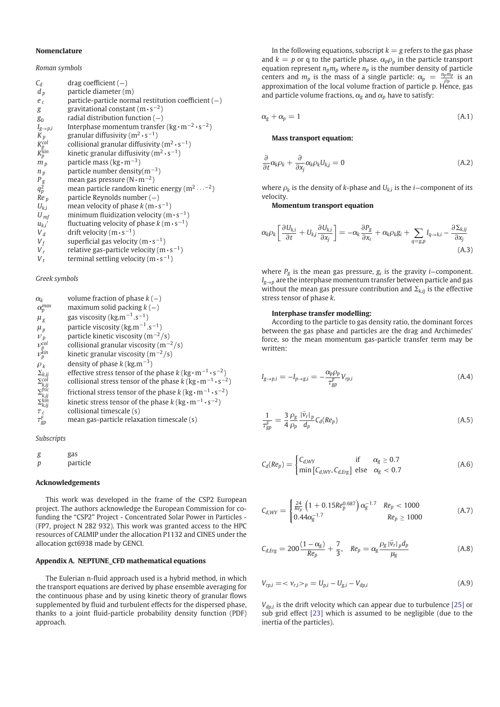#### **Nomenclature**

*Roman symbols*

| $C_d$                      | $drag coefficient (-)$                                          |
|----------------------------|-----------------------------------------------------------------|
| $d_p$                      | particle diameter (m)                                           |
| $e_c$                      | particle-particle normal restitution coefficient $(-)$          |
| g                          | gravitational constant $(m \cdot s^{-2})$                       |
| $g_0$                      | radial distribution function $(-)$                              |
| $I_{g\rightarrow p,i}$     | Interphase momentum transfer ( $kg \cdot m^{-2} \cdot s^{-2}$ ) |
| $K_p$                      | granular diffusivity $(m^2 \cdot s^{-1})$                       |
|                            | collisional granular diffusivity $(m^2 \cdot s^{-1})$           |
| $K_p^{col}$<br>$K_p^{kin}$ | kinetic granular diffusivity $(m^2 \cdot s^{-1})$               |
| m <sub>p</sub>             | particle mass ( $kg \cdot m^{-3}$ )                             |
| $n_p$                      | particle number density( $m^{-3}$ )                             |
|                            | mean gas pressure $(N \cdot m^{-2})$                            |
| $P_g$<br>$q_p^2$           | mean particle random kinetic energy ( $m^2 \cdots^{-2}$ )       |
| $Re_p$                     | particle Reynolds number $(-)$                                  |
| $U_{k,i}$                  | mean velocity of phase $k(m \cdot s^{-1})$                      |
| $U_{\text{mf}}$            | minimum fluidization velocity ( $m \cdot s^{-1}$ )              |
| $u_{ki}$                   | fluctuating velocity of phase $k(m \cdot s^{-1})$               |
| $V_d$                      | drift velocity $(m \cdot s^{-1})$                               |
| $V_f$                      | superficial gas velocity $(m \cdot s^{-1})$                     |
| $V_r$                      | relative gas-particle velocity $(m \cdot s^{-1})$               |
| $V_t$                      | terminal settling velocity $(m \cdot s^{-1})$                   |

### *Greek symbols*

| $\alpha_{k}$                                                                                                        | volume fraction of phase $k(-)$                                                                  |
|---------------------------------------------------------------------------------------------------------------------|--------------------------------------------------------------------------------------------------|
| $\alpha_p^{max}$                                                                                                    | maximum solid packing $k(-)$                                                                     |
| $\mu_{\rm g}$                                                                                                       | gas viscosity ( $\text{kg.m}^{-1} \text{.s}^{-1}$ )                                              |
| $\mu_{v}$                                                                                                           | particle viscosity ( $kg.m^{-1}.s^{-1}$ )                                                        |
| $\nu_p$                                                                                                             | particle kinetic viscosity ( $m^{-2}/s$ )                                                        |
| $v_{p}^{\text{col}}$<br>$v_{p}^{\text{kin}}$                                                                        | collisional granular viscosity $(m^{-2}/s)$                                                      |
|                                                                                                                     | kinetic granular viscosity ( $m^{-2}/s$ )                                                        |
| $\rho_k$                                                                                                            | density of phase $k$ (kg,m <sup>-3</sup> )                                                       |
|                                                                                                                     | effective stress tensor of the phase $k$ (kg $\cdot$ m <sup>-1</sup> $\cdot$ s <sup>-2</sup> )   |
|                                                                                                                     | collisional stress tensor of the phase $k$ (kg $\cdot$ m <sup>-1</sup> $\cdot$ s <sup>-2</sup> ) |
| $\begin{array}{c} \Sigma_{k,ij} \\ \Sigma_{k,ij}^{col} \\ \Sigma_{k,ij}^{fric} \\ \Sigma_{k,ij}^{fric} \end{array}$ | frictional stress tensor of the phase $k$ (kg $\cdot$ m <sup>-1</sup> $\cdot$ s <sup>-2</sup> )  |
| $\Sigma_{k,ij}^{kin}$                                                                                               | kinetic stress tensor of the phase $k$ (kg $\cdot$ m <sup>-1</sup> $\cdot$ s <sup>-2</sup> )     |
| $\tau_c$                                                                                                            | collisional timescale (s)                                                                        |
| $\tau_{\textit{en}}^{\textit{F}}$                                                                                   | mean gas-particle relaxation timescale (s)                                                       |

#### *Subscripts*

| g | gas      |
|---|----------|
| р | particle |

#### **Acknowledgements**

This work was developed in the frame of the CSP2 European project. The authors acknowledge the European Commission for cofunding the "CSP2" Project - Concentrated Solar Power in Particles - (FP7, project N 282 932). This work was granted access to the HPC resources of CALMIP under the allocation P1132 and CINES under the allocation gct6938 made by GENCI.

# **Appendix A. NEPTUNE\_CFD mathematical equations**

The Eulerian n-fluid approach used is a hybrid method, in which the transport equations are derived by phase ensemble averaging for the continuous phase and by using kinetic theory of granular flows supplemented by fluid and turbulent effects for the dispersed phase, thanks to a joint fluid-particle probability density function (PDF) approach.

In the following equations, subscript  $k = g$  refers to the gas phase and  $k = p$  or q to the particle phase.  $\alpha_p \rho_p$  in the particle transport equation represent  $n_p m_p$  where  $n_p$  is the number density of particle centers and  $m_p$  is the mass of a single particle:  $\alpha_p = \frac{n_p m_p}{\rho_p}$  is an approximation of the local volume fraction of particle p. Hence, gas and particle volume fractions,  $\alpha_g$  and  $\alpha_p$  have to satisfy:

$$
\alpha_g + \alpha_p = 1 \tag{A.1}
$$

#### **Mass transport equation:**

$$
\frac{\partial}{\partial t}\alpha_k \rho_k + \frac{\partial}{\partial x_j}\alpha_k \rho_k U_{kj} = 0
$$
\n(A.2)

where  $\rho_k$  is the density of *k*-phase and  $U_{k,i}$  is the *i*−component of its velocity.

**Momentum transport equation**

$$
\alpha_{k}\rho_{k}\left[\frac{\partial U_{k,i}}{\partial t}+U_{k,j}\frac{\partial U_{k,i}}{\partial x_{j}}\right]=-\alpha_{k}\frac{\partial P_{g}}{\partial x_{i}}+\alpha_{k}\rho_{k}g_{i}+\sum_{q=g,p}I_{q\to k,i}-\frac{\partial \Sigma_{k,ij}}{\partial x_{j}}
$$
\n(A.3)

where *P*<sup>*g*</sup> is the mean gas pressure, *g*<sup>*i*</sup> is the gravity *i*−component.  $I_{g\rightarrow p}$  are the interphase momentum transfer between particle and gas without the mean gas pressure contribution and  $\Sigma_{k,ij}$  is the effective stress tensor of phase *k*.

#### **Interphase transfer modelling:**

According to the particle to gas density ratio, the dominant forces between the gas phase and particles are the drag and Archimedes' force, so the mean momentum gas-particle transfer term may be written:

$$
I_{g \to p,i} = -I_{p \to g,i} = -\frac{\alpha_p \rho_p}{\tau_{gp}^F} V_{rp,i}
$$
\n(A.4)

$$
\frac{1}{\tau_{gp}^F} = \frac{3}{4} \frac{\rho_g}{\rho_p} \frac{|\vec{v}_r|_p}{d_p} C_d (Re_p) \tag{A.5}
$$

$$
C_d(Re_p) = \begin{cases} C_{d,WW} & \text{if } \alpha_g \ge 0.7\\ \min\left[C_{d,WW}, C_{d,Erg}\right] & \text{else } \alpha_g < 0.7 \end{cases}
$$
(A.6)

$$
C_{d, WY} = \begin{cases} \frac{24}{Re_p} \left( 1 + 0.15Re_p^{0.687} \right) \alpha_g^{-1.7} & Re_p < 1000\\ 0.44 \alpha_g^{-1.7} & Re_p \ge 1000 \end{cases}
$$
 (A.7)

$$
C_{d,Erg} = 200 \frac{(1-\alpha_g)}{Re_p} + \frac{7}{3}, \quad Re_p = \alpha_g \frac{\rho_g |\vec{v}_r|_p d_p}{\mu_g} \tag{A.8}
$$

$$
V_{rp,i} = \langle v_{r,i} \rangle_p = U_{p,i} - U_{g,i} - V_{dp,i}
$$
\n(A.9)

*Vdp*,*<sup>i</sup>* is the drift velocity which can appear due to turbulence [25] or sub grid effect [23] which is assumed to be negligible (due to the inertia of the particles).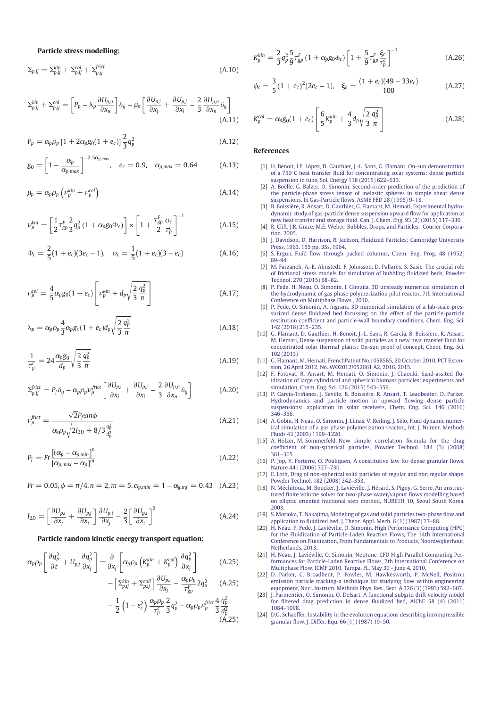**Particle stress modelling:**

$$
\Sigma_{p,ij} = \Sigma_{p,ij}^{kin} + \Sigma_{p,ij}^{col} + \Sigma_{p,ij}^{frict}
$$
\n(A.10)

$$
\Sigma_{p,ij}^{kin} + \Sigma_{p,ij}^{col} = \left[ P_p - \lambda_p \frac{\partial U_{p,n}}{\partial x_n} \right] \delta_{ij} - \mu_p \left[ \frac{\partial U_{p,i}}{\partial x_j} + \frac{\partial U_{p,j}}{\partial x_i} - \frac{2}{3} \frac{\partial U_{p,n}}{\partial x_n} \delta_{ij} \right]
$$
\n(A.11)

$$
P_p = \alpha_p \rho_p \left[ 1 + 2\alpha_p g_0 (1 + e_c) \right] \frac{2}{3} q_p^2 \tag{A.12}
$$

$$
g_0 = \left[1 - \frac{\alpha_p}{\alpha_{p,max}}\right]^{-2.5\alpha_{p,max}}, \quad e_c = 0.9, \quad \alpha_{p,max} = 0.64 \tag{A.13}
$$

$$
\mu_p = \alpha_p \rho_p \left( \nu_p^{kin} + \nu_p^{col} \right) \tag{A.14}
$$

$$
\nu_p^{kin} = \left[ \frac{1}{2} \tau_{gp}^F \frac{2}{3} q_p^2 \left( 1 + \alpha_p g_0 \Phi_c \right) \right] \times \left[ 1 + \frac{\tau_{gp}^F}{2} \frac{\sigma_c}{\tau_p^c} \right]^{-1} \tag{A.15}
$$

$$
\Phi_c = \frac{2}{5}(1 + e_c)(3e_c - 1), \quad \sigma_c = \frac{1}{5}(1 + e_c)(3 - e_c) \tag{A.16}
$$

$$
\nu_p^{col} = \frac{4}{5} \alpha_p g_0 (1 + e_c) \left[ \nu_p^{kin} + d_p \sqrt{\frac{2}{3} \frac{q_p^2}{\pi}} \right]
$$
 (A.17)

$$
\lambda_p = \alpha_p \rho_p \frac{4}{3} \alpha_p g_0 (1 + e_c) d_p \sqrt{\frac{2}{3} \frac{q_p^2}{\pi}}
$$
\n(A.18)

$$
\frac{1}{\tau_p^c} = 24 \frac{\alpha_p g_0}{d_p} \sqrt{\frac{2}{3} \frac{q_p^2}{\pi}}
$$
\n(A.19)

$$
\Sigma_{p,ij}^{frict} = P_f \delta_{ij} - \alpha_p \rho_p \nu_p^{frict} \left[ \frac{\partial U_{p,i}}{\partial x_j} + \frac{\partial U_{p,j}}{\partial x_i} - \frac{2}{3} \frac{\partial U_{p,n}}{\partial x_n} \delta_{ij} \right]
$$
(A.20)

$$
\nu_p^{\text{frict}} = \frac{\sqrt{2}P_f \sin \phi}{\alpha_s \rho_p \sqrt{2I_{2D} + 8/3 \frac{q_p^2}{d_p^2}}}
$$
(A.21)

$$
P_f = Fr \frac{\left[ (\alpha_p - \alpha_{p,min}) \right]^n}{\left[ \alpha_{p,max} - \alpha_p \right]^m}
$$
\n(A.22)

 $Fr = 0.05, \phi = \pi/4, n = 2, m = 5, \alpha_{p,min} = 1 - \alpha_{g,mf} = 0.43$  (A.23)

$$
I_{2D} = \left[\frac{\partial U_{p,i}}{\partial x_j} + \frac{\partial U_{p,j}}{\partial x_i}\right] \frac{\partial U_{p,i}}{\partial x_j} - \frac{2}{3} \left[\frac{\partial U_{p,i}}{\partial x_i}\right]^2
$$
 (A.24)

#### **Particle random kinetic energy transport equation:**

$$
\alpha_p \rho_p \left[ \frac{\partial q_p^2}{\partial t} + U_{pj} \frac{\partial q_p^2}{\partial x_j} \right] = \frac{\partial}{\partial x_j} \left[ \alpha_p \rho_p \left( K_p^{kin} + K_p^{col} \right) \frac{\partial q_p^2}{\partial x_j} \right]
$$
(A.25)

$$
-\left[\Sigma_{p,ij}^{kin} + \Sigma_{p,ij}^{coll}\right] \frac{\partial U_{p,i}}{\partial x_j} - \frac{\alpha_p \rho_p}{\tau_{gp}^F} 2q_p^2 \qquad (A.25)
$$

$$
-\frac{1}{2}\left(1-e_c^2\right)\frac{\alpha_p\rho_p}{\tau_p^c}\frac{2}{3}q_p^2-\alpha_p\rho_p\nu_p^{\text{frict}}\frac{4}{3}\frac{q_p^2}{d_p^2}\n\tag{A.25}
$$

$$
K_p^{kin} = \frac{2}{3} q_p^2 \frac{5}{9} \tau_{gp}^F (1 + \alpha_p g_0 \phi_c) \left[ 1 + \frac{5}{9} \tau_{gp}^F \frac{\xi_c}{\tau_p^c} \right]^{-1}
$$
(A.26)

$$
\phi_c = \frac{3}{5}(1 + e_c)^2 (2e_c - 1), \quad \xi_c = \frac{(1 + e_c)(49 - 33e_c)}{100}
$$
 (A.27)

$$
K_p^{col} = \alpha_p g_0 (1 + e_c) \left[ \frac{6}{5} K_p^{kin} + \frac{4}{3} d_p \sqrt{\frac{2}{3} \frac{q_p^2}{\pi}} \right]
$$
 (A.28)

#### **References**

- [1] H. Benoit, I.P. López, D. Gauthier, J.-L. Sans, G. Flamant, On-sun demonstration of a 750◦C heat transfer fluid for concentrating solar systems: dense particle suspension in tube, Sol. Energy 118 (2015) 622–633.
- [2] A. Boëlle, G. Balzer, O. Simonin, Second-order prediction of the prediction of the particle-phase stress tensor of inelastic spheres in simple shear dense suspensions, In Gas-Particle flows, ASME FED 28 (1995) 9–18.
- [3] B. Boissière, R. Ansart, D. Gauthier, G. Flamant, M. Hemati, Experimental hydrodynamic study of gas-particle dense suspension upward flow for application as new heat transfer and storage fluid, Can. J. Chem. Eng. 93 (2) (2015) 317–330.
- [4] R. Clift, J.R. Grace, M.E. Weber, Bubbles, Drops, and Particles, Courier Corporation. 2005.
- [5] J. Davidson, D. Harrison, R. Jackson, Fluidized Particles: Cambridge University Press, 1963. 155 pp. 35s, 1964.
- [6] S. Ergun, Fluid flow through packed columns, Chem. Eng. Prog. 48 (1952) 89–94.
- [7] M. Farzaneh, A.-E. Almstedt, F. Johnsson, D. Pallarès, S. Sasic, The crucial role of frictional stress models for simulation of bubbling fluidized beds, Powder Technol. 270 (2015) 68–82.
- [8] P. Fede, H. Neau, O. Simonin, I. Ghouila, 3D unsteady numerical simulation of the hydrodynamic of gas phase polymerization pilot reactor, 7th International Conference on Multiphase Flows., 2010,
- [9] P. Fede, O. Simonin, A. Ingram, 3D numerical simulation of a lab-scale pressurized dense fluidized bed focussing on the effect of the particle-particle restitution coefficient and particle-wall boundary conditions, Chem. Eng. Sci. 142 (2016) 215–235.
- [10] G. Flamant, D. Gauthier, H. Benoit, J.-L. Sans, R. Garcia, B. Boissiere, R. Ansart, M. Hemati, Dense suspension of solid particles as a new heat transfer fluid for concentrated solar thermal plants: On-sun proof of concept, Chem. Eng. Sci. 102 (2013)
- [11] G. Flamant, M. Hemati, FrenchPatent No.1058565, 20 October 2010. PCT Extension, 26 April 2012, No. WO2012/052661 A2, 2016, 2015.
- [12] F. Fotovat, R. Ansart, M. Hemati, O. Simonin, J. Chaouki, Sand-assited fluidization of large cylindrical and spherical biomass particles: experiments and simulation, Chem. Eng. Sci. 126 (2015) 543–559.
- [13] P. García-Triñanes, J. Seville, B. Boissière, R. Ansart, T. Leadbeater, D. Parker, Hydrodynamics and particle motion in upward flowing dense particle suspensions: application in solar receivers, Chem. Eng. Sci. 146 (2016) 346–356.
- [14] A. Gobin, H. Neau, O. Simonin, J. Llinas, V. Reiling, J. Sélo, Fluid dynamic numerical simulation of a gas phase polymerization reactor., Int. J. Numer. Methods Fluids 43 (2003) 1199–1220.
- [15] A. Hölzer, M. Sommerfeld, New simple correlation formula for the drag coefficient of non-spherical particles, Powder Technol. 184 (3) (2008) 361–365.
- [16] P. Jop, Y. Forterre, O. Pouliquen, A constitutive law for dense granular flows, Nature 441 (2006) 727–730.
- [17] E. Loth, Drag of non-spherical solid particles of regular and non regular shape, Powder Technol. 182 (2008) 342–353.
- [18] N. Méchitoua, M. Boucker, J. Laviéville, J. Hérard, S. Pigny, G. Serre, An unstructured finite volume solver for two-phase water/vapour flows modelling based on elliptic oriented fractional step method, NURETH 10, Seoul South Korea, 2003,
- [19] S. Morioka, T. Nakajima, Modeling of gas and solid particles two-phase flow and application to fluidized bed, J. Theor. Appl. Mech. 6 (1) (1987) 77–88.
- [20] H. Neau, P. Fede, J. Laviéville, O. Simonin, High Performance Computing (HPC) for the Fluidization of Particle-Laden Reactive Flows, The 14th International Conference on Fluidization, From Fundamentals to Products, Noordwijkerhout, Netherlands, 2013,
- [21] H. Neau, J. Laviéville, O. Simonin, Neptune\_CFD High Parallel Computing Performances for Particle-Laden Reactive Flows, 7th International Conference on Multiphase Flow, ICMF 2010, Tampa, FL, May 30 - June 4, 2010,
- [22] D. Parker, C. Broadbent, P. Fowles, M. Hawkesworth, P. McNeil, Positron emission particle tracking-a technique for studying flow within engineering equipment, Nucl. Instrum. Methods Phys. Res., Sect. A 326 (3) (1993) 592–607.
- [23] J. Parmentier, O. Simonin, O. Delsart, A functional subgrid drift velocity model for filtered drag prediction in dense fluidized bed, AIChE 58 (4) (2011) 1084–1098.
- [24] D.G. Schaeffer, Instability in the evolution equations describing incompressible granular flow, J. Differ. Equ. 66 (1) (1987) 19–50.